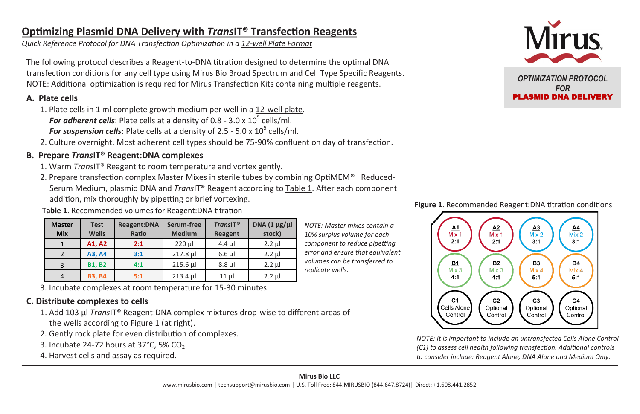# **Optimizing Plasmid DNA Delivery with** *Trans***IT® Transfection Reagents**

*Quick Reference Protocol for DNA Transfection Optimization in a 12-well Plate Format*

The following protocol describes a Reagent-to-DNA titration designed to determine the optimal DNA transfection conditions for any cell type using Mirus Bio Broad Spectrum and Cell Type Specific Reagents. NOTE: Additional optimization is required for Mirus Transfection Kits containing multiple reagents.

### **A. Plate cells**

- 1. Plate cells in 1 ml complete growth medium per well in a 12-well plate. For adherent cells: Plate cells at a density of 0.8 - 3.0 x 10<sup>5</sup> cells/ml. For suspension cells: Plate cells at a density of 2.5 - 5.0 x 10<sup>5</sup> cells/ml.
- 2. Culture overnight. Most adherent cell types should be 75-90% confluent on day of transfection.

# **B. Prepare** *Trans***IT® Reagent:DNA complexes**

- 1. Warm *Trans*IT® Reagent to room temperature and vortex gently.
- 2. Prepare transfection complex Master Mixes in sterile tubes by combining OptiMEM**®** I Reduced-Serum Medium, plasmid DNA and *Trans*IT® Reagent according to Table 1. After each component addition, mix thoroughly by pipetting or brief vortexing.

**Table 1**. Recommended volumes for Reagent:DNA titration

| <b>Master</b><br><b>Mix</b> | <b>Test</b><br>Wells | Reagent:DNA<br>Ratio | Serum-free<br><b>Medium</b> | TransIT <sup>®</sup><br>Reagent | DNA $(1 \mu g/\mu)$<br>stock) |
|-----------------------------|----------------------|----------------------|-----------------------------|---------------------------------|-------------------------------|
|                             | A1, A2               | 2:1                  | $220 \mu$                   | $4.4$ µ                         | $2.2$ $\mu$                   |
|                             | A3, A4               | 3:1                  | 217.8 µl                    | $6.6$ µ                         | $2.2$ ul                      |
|                             | <b>B1. B2</b>        | 4:1                  | 215.6 µl                    | $8.8$ $\mu$                     | $2.2$ ul                      |
|                             | <b>B3.B4</b>         | 5:1                  | 213.4 ul                    | $11$ ul                         | $2.2$ ul                      |

3. Incubate complexes at room temperature for 15-30 minutes.

# **C. Distribute complexes to cells**

- 1. Add 103 µl *Trans*IT® Reagent:DNA complex mixtures drop-wise to different areas of the wells according to Figure 1 (at right).
- 2. Gently rock plate for even distribution of complexes.
- 3. Incubate 24-72 hours at  $37^{\circ}$ C, 5% CO<sub>2</sub>.
- 4. Harvest cells and assay as required.



*OPTIMIZATION PROTOCOL FOR*  PLASMID DNA DELIVERY



*NOTE: It is important to include an untransfected Cells Alone Control (C1) to assess cell health following transfection. Additional controls to consider include: Reagent Alone, DNA Alone and Medium Only.*

*replicate wells.*

*NOTE: Master mixes contain a 10% surplus volume for each component to reduce pipetting error and ensure that equivalent volumes can be transferred to* 

#### **Figure 1**. Recommended Reagent:DNA titration conditions